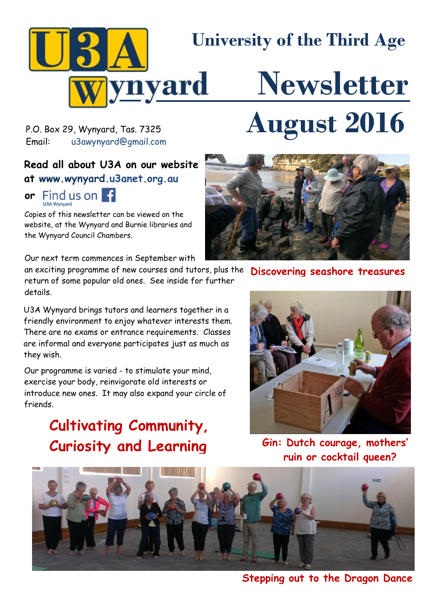

P.O. Box 29, Wynyard, Tas. 7325<br>Fmail: u3awvnyard@amail.com [u3awynyard@gmail.com](mailto:u3awynyard@gmail.com)

# **Read all about U3A on our website at www.wynyard.u3anet.org.au**

# **or** Find us on F

Copies of this newsletter can be viewed on the website, at the Wynyard and Burnie libraries and the Wynyard Council Chambers.

Our next term commences in September with

an exciting programme of new courses and tutors, plus the return of some popular old ones. See inside for further details.

U3A Wynyard brings tutors and learners together in a friendly environment to enjoy whatever interests them. There are no exams or entrance requirements. Classes are informal and everyone participates just as much as they wish.

Our programme is varied - to stimulate your mind, exercise your body, reinvigorate old interests or introduce new ones. It may also expand your circle of friends.

# **Cultivating Community, Curiosity and Learning**



**Discovering seashore treasures**



**Gin: Dutch courage, mothers' ruin or cocktail queen?**



**Stepping out to the Dragon Dance**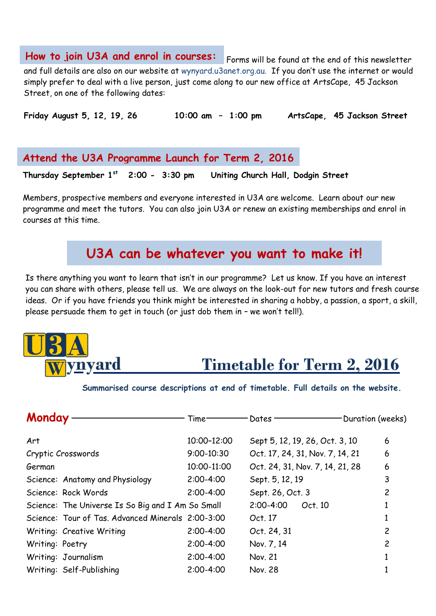**How to join U3A and enrol in courses:** Forms will be found at the end of this newsletter and full details are also on our website at wynyard.u3anet.org.au. If you don't use the internet or would simply prefer to deal with a live person, just come along to our new office at ArtsCape, 45 Jackson Street, on one of the following dates:

**Friday August 5, 12, 19, 26 10:00 am – 1:00 pm ArtsCape, 45 Jackson Street**

**Attend the U3A Programme Launch for Term 2, 2016**

**Thursday September 1st Uniting Church Hall, Dodgin Street** 

Members, prospective members and everyone interested in U3A are welcome. Learn about our new programme and meet the tutors. You can also join U3A or renew an existing memberships and enrol in courses at this time.

# **U3A can be whatever you want to make it!**

Is there anything you want to learn that isn't in our programme? Let us know. If you have an interest . you can share with others, please tell us. We are always on the look-out for new tutors and fresh course ideas. Or if you have friends you think might be interested in sharing a hobby, a passion, a sport, a skill, please persuade them to get in touch (or just dob them in – we won't tell!).



# **Timetable for Term 2, 2016**

**Summarised course descriptions at end of timetable. Full details on the website.**

| Monday          |                                                   | Time <sup>.</sup> | Dates                           | Duration (weeks) |
|-----------------|---------------------------------------------------|-------------------|---------------------------------|------------------|
| Art             |                                                   | 10:00-12:00       | Sept 5, 12, 19, 26, Oct. 3, 10  | 6                |
|                 | Cryptic Crosswords                                | $9:00 - 10:30$    | Oct. 17, 24, 31, Nov. 7, 14, 21 | 6                |
| German          |                                                   | 10:00-11:00       | Oct. 24, 31, Nov. 7, 14, 21, 28 | 6                |
|                 | Science: Anatomy and Physiology                   | $2:00 - 4:00$     | Sept. 5, 12, 19                 | 3                |
|                 | Science: Rock Words                               | $2:00 - 4:00$     | Sept. 26, Oct. 3                | 2                |
|                 | Science: The Universe Is So Big and I Am So Small |                   | $2:00 - 4:00$<br>Oct. 10        |                  |
|                 | Science: Tour of Tas, Advanced Minerals 2:00-3:00 |                   | Oct. 17                         |                  |
|                 | Writing: Creative Writing                         | $2:00 - 4:00$     | Oct. 24, 31                     | 2                |
| Writing: Poetry |                                                   | $2:00 - 4:00$     | Nov. 7, 14                      | $\overline{c}$   |
|                 | Writing: Journalism                               | $2:00 - 4:00$     | Nov. 21                         |                  |
|                 | Writing: Self-Publishing                          | $2:00 - 4:00$     | Nov. 28                         |                  |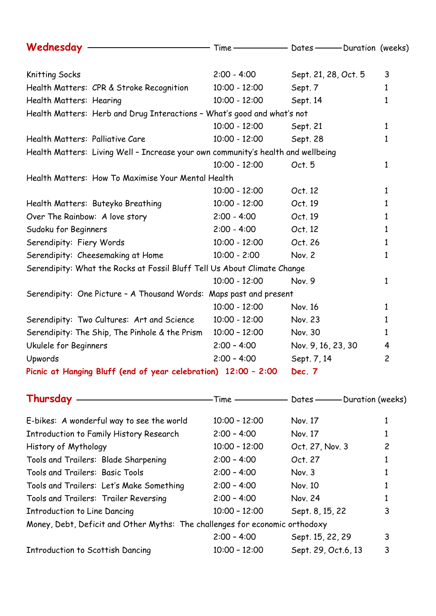| Wednesday –––––––––––––––––––– Time–––––––––––– Dates––––––– Duration (weeks)                                                            |                 |                      |                |
|------------------------------------------------------------------------------------------------------------------------------------------|-----------------|----------------------|----------------|
| Knitting Socks                                                                                                                           | $2:00 - 4:00$   | Sept. 21, 28, Oct. 5 | 3              |
| Health Matters: CPR & Stroke Recognition                                                                                                 | $10:00 - 12:00$ | Sept. 7              | $\mathbf{1}$   |
|                                                                                                                                          |                 |                      |                |
| Health Matters: Hearing                                                                                                                  | $10:00 - 12:00$ | Sept. 14             | 1              |
| Health Matters: Herb and Drug Interactions - What's good and what's not                                                                  |                 |                      |                |
|                                                                                                                                          | $10:00 - 12:00$ | Sept. 21             | $\mathbf{1}$   |
| Health Matters: Palliative Care                                                                                                          | $10:00 - 12:00$ | Sept. 28             | 1              |
| Health Matters: Living Well - Increase your own community's health and wellbeing                                                         |                 |                      |                |
|                                                                                                                                          | $10:00 - 12:00$ | Oct. 5               | 1              |
| Health Matters: How To Maximise Your Mental Health                                                                                       |                 |                      |                |
|                                                                                                                                          | $10:00 - 12:00$ | Oct. 12              | 1              |
| Health Matters: Buteyko Breathing                                                                                                        | $10:00 - 12:00$ | Oct. 19              | 1              |
| Over The Rainbow: A love story                                                                                                           | $2:00 - 4:00$   | Oct. 19              | $\mathbf{1}$   |
| Sudoku for Beginners                                                                                                                     | $2:00 - 4:00$   | Oct. 12              | 1              |
| Serendipity: Fiery Words                                                                                                                 | $10:00 - 12:00$ | Oct. 26              | $\mathbf{1}$   |
| Serendipity: Cheesemaking at Home                                                                                                        | $10:00 - 2:00$  | Nov. 2               | 1              |
| Serendipity: What the Rocks at Fossil Bluff Tell Us About Climate Change                                                                 |                 |                      |                |
|                                                                                                                                          | $10:00 - 12:00$ | Nov. 9               | 1              |
| Serendipity: One Picture - A Thousand Words: Maps past and present                                                                       |                 |                      |                |
|                                                                                                                                          | $10:00 - 12:00$ | Nov. 16              | $\mathbf{1}$   |
| Serendipity: Two Cultures: Art and Science                                                                                               | $10:00 - 12:00$ | Nov. 23              | 1              |
| Serendipity: The Ship, The Pinhole & the Prism                                                                                           | $10:00 - 12:00$ | Nov. 30              | 1              |
| Ukulele for Beginners                                                                                                                    | $2:00 - 4:00$   | Nov. 9, 16, 23, 30   | 4              |
| Upwords                                                                                                                                  | $2:00 - 4:00$   | Sept. 7, 14          | $\overline{c}$ |
| Picnic at Hanging Bluff (end of year celebration) 12:00 - 2:00                                                                           |                 | Dec. 7               |                |
| <u>Contract Communications</u> Communications Communications Communications Communications Communications Communications<br>Thursday $-$ |                 |                      |                |

| E-bikes: A wonderful way to see the world                                   | $10:00 - 12:00$ | Nov. 17             |   |
|-----------------------------------------------------------------------------|-----------------|---------------------|---|
| Introduction to Family History Research                                     | $2:00 - 4:00$   | Nov. 17             |   |
| History of Mythology                                                        | $10:00 - 12:00$ | Oct. 27, Nov. 3     | 2 |
| Tools and Trailers: Blade Sharpening                                        | $2:00 - 4:00$   | Oct. 27             |   |
| Tools and Trailers: Basic Tools                                             | $2:00 - 4:00$   | Nov. 3              |   |
| Tools and Trailers: Let's Make Something                                    | $2:00 - 4:00$   | Nov. 10             |   |
| Tools and Trailers: Trailer Reversing                                       | $2:00 - 4:00$   | Nov. 24             |   |
| Introduction to Line Dancing                                                | $10:00 - 12:00$ | Sept. 8, 15, 22     | 3 |
| Money, Debt, Deficit and Other Myths: The challenges for economic orthodoxy |                 |                     |   |
|                                                                             | $2:00 - 4:00$   | Sept. 15, 22, 29    | 3 |
| <b>Introduction to Scottish Dancing</b>                                     | $10:00 - 12:00$ | Sept. 29, Oct.6, 13 | 3 |
|                                                                             |                 |                     |   |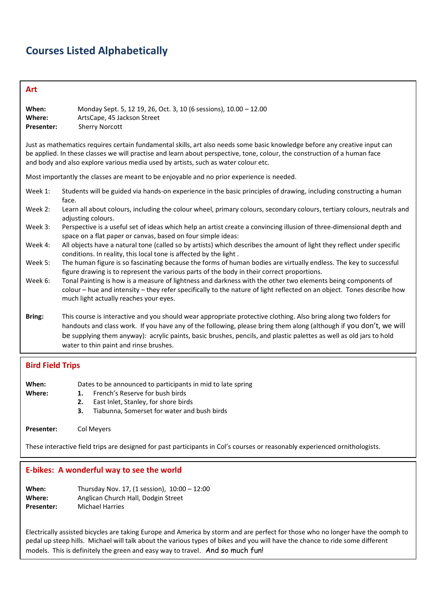# **Courses Listed Alphabetically**

## **Art**

| When:<br>Where:<br>Presenter: | Monday Sept. 5, 12 19, 26, Oct. 3, 10 (6 sessions), 10.00 - 12.00<br>ArtsCape, 45 Jackson Street<br><b>Sherry Norcott</b>                                                                                                                                                                                                                                                                               |  |  |
|-------------------------------|---------------------------------------------------------------------------------------------------------------------------------------------------------------------------------------------------------------------------------------------------------------------------------------------------------------------------------------------------------------------------------------------------------|--|--|
|                               | Just as mathematics requires certain fundamental skills, art also needs some basic knowledge before any creative input can<br>be applied. In these classes we will practise and learn about perspective, tone, colour, the construction of a human face<br>and body and also explore various media used by artists, such as water colour etc.                                                           |  |  |
|                               | Most importantly the classes are meant to be enjoyable and no prior experience is needed.                                                                                                                                                                                                                                                                                                               |  |  |
| Week 1:                       | Students will be guided via hands-on experience in the basic principles of drawing, including constructing a human<br>face.                                                                                                                                                                                                                                                                             |  |  |
| Week 2:                       | Learn all about colours, including the colour wheel, primary colours, secondary colours, tertiary colours, neutrals and<br>adjusting colours.                                                                                                                                                                                                                                                           |  |  |
| Week 3:                       | Perspective is a useful set of ideas which help an artist create a convincing illusion of three-dimensional depth and<br>space on a flat paper or canvas, based on four simple ideas:                                                                                                                                                                                                                   |  |  |
| Week 4:                       | All objects have a natural tone (called so by artists) which describes the amount of light they reflect under specific<br>conditions. In reality, this local tone is affected by the light.                                                                                                                                                                                                             |  |  |
| Week 5:                       | The human figure is so fascinating because the forms of human bodies are virtually endless. The key to successful<br>figure drawing is to represent the various parts of the body in their correct proportions.                                                                                                                                                                                         |  |  |
| Week 6:                       | Tonal Painting is how is a measure of lightness and darkness with the other two elements being components of<br>colour – hue and intensity – they refer specifically to the nature of light reflected on an object. Tones describe how<br>much light actually reaches your eyes.                                                                                                                        |  |  |
| Bring:                        | This course is interactive and you should wear appropriate protective clothing. Also bring along two folders for<br>handouts and class work. If you have any of the following, please bring them along (although if you don't, we will<br>be supplying them anyway): acrylic paints, basic brushes, pencils, and plastic palettes as well as old jars to hold<br>water to thin paint and rinse brushes. |  |  |
|                               |                                                                                                                                                                                                                                                                                                                                                                                                         |  |  |

# **Bird Field Trips**

| When:<br>Where:   | Dates to be announced to participants in mid to late spring<br>French's Reserve for bush birds<br>East Inlet, Stanley, for shore birds<br>2. |
|-------------------|----------------------------------------------------------------------------------------------------------------------------------------------|
| <b>Presenter:</b> | Tiabunna, Somerset for water and bush birds<br>З.<br>Col Meyers                                                                              |

These interactive field trips are designed for past participants in Col's courses or reasonably experienced ornithologists.

### **E-bikes: A wonderful way to see the world**

| When:             | Thursday Nov. 17, (1 session), $10:00 - 12:00$ |
|-------------------|------------------------------------------------|
| Where:            | Anglican Church Hall, Dodgin Street            |
| <b>Presenter:</b> | <b>Michael Harries</b>                         |

Electrically assisted bicycles are taking Europe and America by storm and are perfect for those who no longer have the oomph to pedal up steep hills. Michael will talk about the various types of bikes and you will have the chance to ride some different models. This is definitely the green and easy way to travel. And so much fun!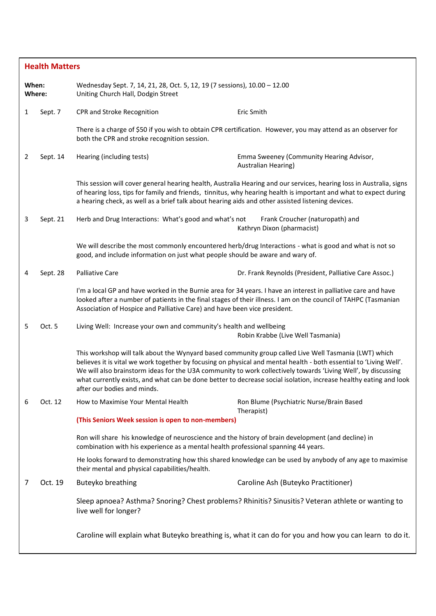| <b>Health Matters</b>                                                                                                              |          |                                                                                                                                                                                          |                                                                                                                                                                                                                                                                                                                                                                                                                                                                   |
|------------------------------------------------------------------------------------------------------------------------------------|----------|------------------------------------------------------------------------------------------------------------------------------------------------------------------------------------------|-------------------------------------------------------------------------------------------------------------------------------------------------------------------------------------------------------------------------------------------------------------------------------------------------------------------------------------------------------------------------------------------------------------------------------------------------------------------|
| When:<br>Wednesday Sept. 7, 14, 21, 28, Oct. 5, 12, 19 (7 sessions), 10.00 - 12.00<br>Where:<br>Uniting Church Hall, Dodgin Street |          |                                                                                                                                                                                          |                                                                                                                                                                                                                                                                                                                                                                                                                                                                   |
| 1                                                                                                                                  | Sept. 7  | CPR and Stroke Recognition                                                                                                                                                               | Eric Smith                                                                                                                                                                                                                                                                                                                                                                                                                                                        |
|                                                                                                                                    |          | both the CPR and stroke recognition session.                                                                                                                                             | There is a charge of \$50 if you wish to obtain CPR certification. However, you may attend as an observer for                                                                                                                                                                                                                                                                                                                                                     |
| 2                                                                                                                                  | Sept. 14 | Hearing (including tests)                                                                                                                                                                | Emma Sweeney (Community Hearing Advisor,<br>Australian Hearing)                                                                                                                                                                                                                                                                                                                                                                                                   |
|                                                                                                                                    |          | a hearing check, as well as a brief talk about hearing aids and other assisted listening devices.                                                                                        | This session will cover general hearing health, Australia Hearing and our services, hearing loss in Australia, signs<br>of hearing loss, tips for family and friends, tinnitus, why hearing health is important and what to expect during                                                                                                                                                                                                                         |
| 3                                                                                                                                  | Sept. 21 | Herb and Drug Interactions: What's good and what's not                                                                                                                                   | Frank Croucher (naturopath) and<br>Kathryn Dixon (pharmacist)                                                                                                                                                                                                                                                                                                                                                                                                     |
|                                                                                                                                    |          | good, and include information on just what people should be aware and wary of.                                                                                                           | We will describe the most commonly encountered herb/drug Interactions - what is good and what is not so                                                                                                                                                                                                                                                                                                                                                           |
| 4                                                                                                                                  | Sept. 28 | Palliative Care                                                                                                                                                                          | Dr. Frank Reynolds (President, Palliative Care Assoc.)                                                                                                                                                                                                                                                                                                                                                                                                            |
|                                                                                                                                    |          | Association of Hospice and Palliative Care) and have been vice president.                                                                                                                | I'm a local GP and have worked in the Burnie area for 34 years. I have an interest in palliative care and have<br>looked after a number of patients in the final stages of their illness. I am on the council of TAHPC (Tasmanian                                                                                                                                                                                                                                 |
| 5                                                                                                                                  | Oct. 5   | Living Well: Increase your own and community's health and wellbeing                                                                                                                      | Robin Krabbe (Live Well Tasmania)                                                                                                                                                                                                                                                                                                                                                                                                                                 |
|                                                                                                                                    |          | after our bodies and minds.                                                                                                                                                              | This workshop will talk about the Wynyard based community group called Live Well Tasmania (LWT) which<br>believes it is vital we work together by focusing on physical and mental health - both essential to 'Living Well'.<br>We will also brainstorm ideas for the U3A community to work collectively towards 'Living Well', by discussing<br>what currently exists, and what can be done better to decrease social isolation, increase healthy eating and look |
| 6                                                                                                                                  | Oct. 12  | How to Maximise Your Mental Health                                                                                                                                                       | Ron Blume (Psychiatric Nurse/Brain Based<br>Therapist)                                                                                                                                                                                                                                                                                                                                                                                                            |
|                                                                                                                                    |          | (This Seniors Week session is open to non-members)                                                                                                                                       |                                                                                                                                                                                                                                                                                                                                                                                                                                                                   |
|                                                                                                                                    |          | Ron will share his knowledge of neuroscience and the history of brain development (and decline) in<br>combination with his experience as a mental health professional spanning 44 years. |                                                                                                                                                                                                                                                                                                                                                                                                                                                                   |
|                                                                                                                                    |          | their mental and physical capabilities/health.                                                                                                                                           | He looks forward to demonstrating how this shared knowledge can be used by anybody of any age to maximise                                                                                                                                                                                                                                                                                                                                                         |
| 7                                                                                                                                  | Oct. 19  | Buteyko breathing                                                                                                                                                                        | Caroline Ash (Buteyko Practitioner)                                                                                                                                                                                                                                                                                                                                                                                                                               |
|                                                                                                                                    |          | live well for longer?                                                                                                                                                                    | Sleep apnoea? Asthma? Snoring? Chest problems? Rhinitis? Sinusitis? Veteran athlete or wanting to                                                                                                                                                                                                                                                                                                                                                                 |
|                                                                                                                                    |          |                                                                                                                                                                                          | Caroline will explain what Buteyko breathing is, what it can do for you and how you can learn to do it.                                                                                                                                                                                                                                                                                                                                                           |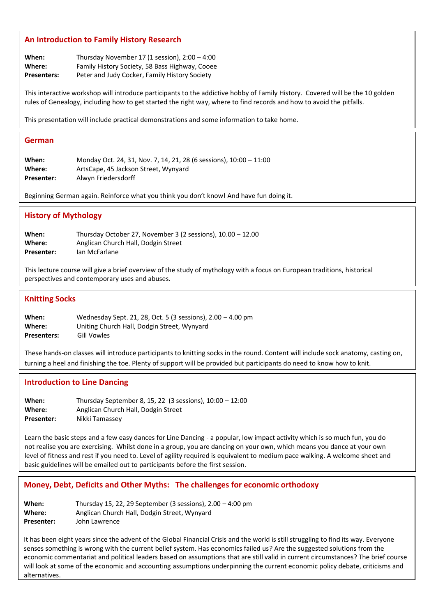#### **An Introduction to Family History Research**

**When:** Thursday November 17 (1 session), 2:00 – 4:00 **Where:** Family History Society, 58 Bass Highway, Cooee **Presenters:** Peter and Judy Cocker, Family History Society

This interactive workshop will introduce participants to the addictive hobby of Family History. Covered will be the 10 golden rules of Genealogy, including how to get started the right way, where to find records and how to avoid the pitfalls.

This presentation will include practical demonstrations and some information to take home.

#### **German**

**When:** Monday Oct. 24, 31, Nov. 7, 14, 21, 28 (6 sessions), 10:00 – 11:00 **Where:** ArtsCape, 45 Jackson Street, Wynyard **Presenter:** Alwyn Friedersdorff

Beginning German again. Reinforce what you think you don't know! And have fun doing it.

#### **History of Mythology**

**When:** Thursday October 27, November 3 (2 sessions), 10.00 – 12.00 **Where:** Anglican Church Hall, Dodgin Street Presenter: Ian McFarlane

This lecture course will give a brief overview of the study of mythology with a focus on European traditions, historical perspectives and contemporary uses and abuses.

#### **Knitting Socks**

**When:** Wednesday Sept. 21, 28, Oct. 5 (3 sessions), 2.00 – 4.00 pm **Where:** Uniting Church Hall, Dodgin Street, Wynyard **Presenters:** Gill Vowles

These hands-on classes will introduce participants to knitting socks in the round. Content will include sock anatomy, casting on, turning a heel and finishing the toe. Plenty of support will be provided but participants do need to know how to knit.

#### **Introduction to Line Dancing**

**When:** Thursday September 8, 15, 22 (3 sessions), 10:00 – 12:00 **Where:** Anglican Church Hall, Dodgin Street **Presenter:** Nikki Tamassey

Learn the basic steps and a few easy dances for Line Dancing - a popular, low impact activity which is so much fun, you do not realise you are exercising. Whilst done in a group, you are dancing on your own, which means you dance at your own level of fitness and rest if you need to. Level of agility required is equivalent to medium pace walking. A welcome sheet and basic guidelines will be emailed out to participants before the first session.

#### **Money, Debt, Deficits and Other Myths: The challenges for economic orthodoxy**

**When:** Thursday 15, 22, 29 September (3 sessions), 2.00 – 4:00 pm **Where:** Anglican Church Hall, Dodgin Street, Wynyard **Presenter:** John Lawrence

It has been eight years since the advent of the Global Financial Crisis and the world is still struggling to find its way. Everyone senses something is wrong with the current belief system. Has economics failed us? Are the suggested solutions from the economic commentariat and political leaders based on assumptions that are still valid in current circumstances? The brief course will look at some of the economic and accounting assumptions underpinning the current economic policy debate, criticisms and alternatives.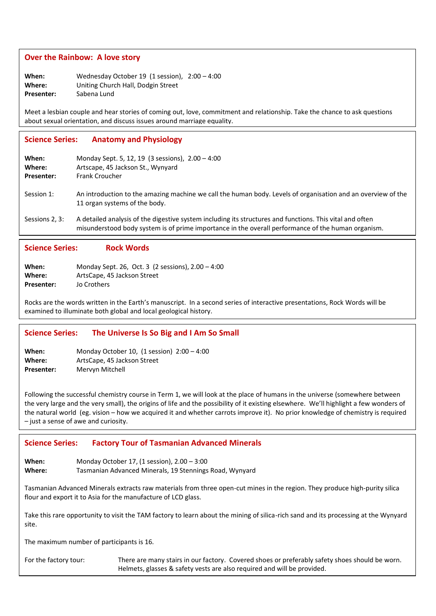#### **Over the Rainbow: A love story**

**When:** Wednesday October 19 (1 session), 2:00 – 4:00 **Where:** Uniting Church Hall, Dodgin Street **Presenter:** Sabena Lund

Meet a lesbian couple and hear stories of coming out, love, commitment and relationship. Take the chance to ask questions about sexual orientation, and discuss issues around marriage equality.

## **Science Series: Anatomy and Physiology**

| When:<br>Where:<br><b>Presenter:</b> | Monday Sept. 5, 12, 19 (3 sessions), $2.00 - 4:00$<br>Artscape, 45 Jackson St., Wynyard<br><b>Frank Croucher</b>                                                                                               |
|--------------------------------------|----------------------------------------------------------------------------------------------------------------------------------------------------------------------------------------------------------------|
| Session 1:                           | An introduction to the amazing machine we call the human body. Levels of organisation and an overview of the<br>11 organ systems of the body.                                                                  |
| Sessions 2, 3:                       | A detailed analysis of the digestive system including its structures and functions. This vital and often<br>misunderstood body system is of prime importance in the overall performance of the human organism. |

# **Science Series: Rock Words**

| When:      | Monday Sept. 26, Oct. 3 (2 sessions), 2.00 - 4:00 |
|------------|---------------------------------------------------|
| Where:     | ArtsCape, 45 Jackson Street                       |
| Presenter: | Jo Crothers                                       |

Rocks are the words written in the Earth's manuscript. In a second series of interactive presentations, Rock Words will be examined to illuminate both global and local geological history.

### **Science Series: The Universe Is So Big and I Am So Small**

| When:      | Monday October 10, $(1$ session) $2:00 - 4:00$ |
|------------|------------------------------------------------|
| Where:     | ArtsCape, 45 Jackson Street                    |
| Presenter: | Mervyn Mitchell                                |

Following the successful chemistry course in Term 1, we will look at the place of humans in the universe (somewhere between the very large and the very small), the origins of life and the possibility of it existing elsewhere. We'll highlight a few wonders of the natural world (eg. vision – how we acquired it and whether carrots improve it). No prior knowledge of chemistry is required – just a sense of awe and curiosity.

#### **Science Series: Factory Tour of Tasmanian Advanced Minerals**

**When:** Monday October 17, (1 session), 2.00 – 3:00 Where: Tasmanian Advanced Minerals, 19 Stennings Road, Wynyard

Tasmanian Advanced Minerals extracts raw materials from three open-cut mines in the region. They produce high-purity silica flour and export it to Asia for the manufacture of LCD glass.

Take this rare opportunity to visit the TAM factory to learn about the mining of silica-rich sand and its processing at the Wynyard  $p$ site. Aristotle who got nearly everything wrong and  $p$  and  $A$  respectively. Aristotle who got nearly every thing wrong and  $A$ site.

The maximum number of participants is 16.

For the factory tour: There are many stairs in our factory. Covered shoes or preferably safety shoes should be worn. Helmets, glasses & safety vests are also required and will be provided.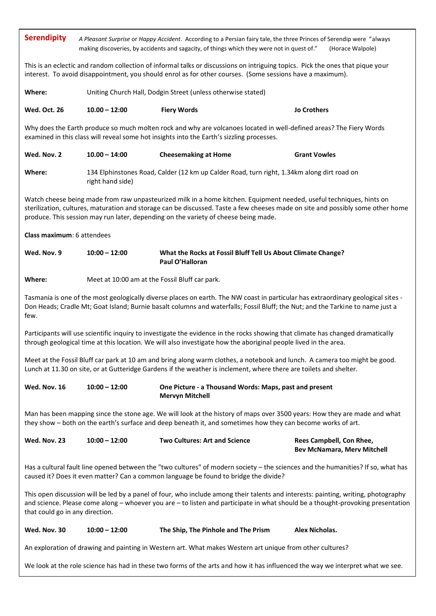| <b>Serendipity</b>                                                                                                                                                                                                                                                                                       | A Pleasant Surprise or Happy Accident. According to a Persian fairy tale, the three Princes of Serendip were "always<br>making discoveries, by accidents and sagacity, of things which they were not in quest of."<br>(Horace Walpole) |                                                                                                                                                                                                                                                                                                                                                |                                                                |  |
|----------------------------------------------------------------------------------------------------------------------------------------------------------------------------------------------------------------------------------------------------------------------------------------------------------|----------------------------------------------------------------------------------------------------------------------------------------------------------------------------------------------------------------------------------------|------------------------------------------------------------------------------------------------------------------------------------------------------------------------------------------------------------------------------------------------------------------------------------------------------------------------------------------------|----------------------------------------------------------------|--|
| This is an eclectic and random collection of informal talks or discussions on intriguing topics. Pick the ones that pique your<br>interest. To avoid disappointment, you should enrol as for other courses. (Some sessions have a maximum).                                                              |                                                                                                                                                                                                                                        |                                                                                                                                                                                                                                                                                                                                                |                                                                |  |
| Where:                                                                                                                                                                                                                                                                                                   |                                                                                                                                                                                                                                        | Uniting Church Hall, Dodgin Street (unless otherwise stated)                                                                                                                                                                                                                                                                                   |                                                                |  |
| <b>Wed. Oct. 26</b>                                                                                                                                                                                                                                                                                      | $10.00 - 12:00$                                                                                                                                                                                                                        | <b>Fiery Words</b>                                                                                                                                                                                                                                                                                                                             | <b>Jo Crothers</b>                                             |  |
|                                                                                                                                                                                                                                                                                                          |                                                                                                                                                                                                                                        | Why does the Earth produce so much molten rock and why are volcanoes located in well-defined areas? The Fiery Words<br>examined in this class will reveal some hot insights into the Earth's sizzling processes.                                                                                                                               |                                                                |  |
| Wed. Nov. 2                                                                                                                                                                                                                                                                                              | $10.00 - 14:00$                                                                                                                                                                                                                        | <b>Cheesemaking at Home</b>                                                                                                                                                                                                                                                                                                                    | <b>Grant Vowles</b>                                            |  |
| Where:                                                                                                                                                                                                                                                                                                   | right hand side)                                                                                                                                                                                                                       | 134 Elphinstones Road, Calder (12 km up Calder Road, turn right, 1.34km along dirt road on                                                                                                                                                                                                                                                     |                                                                |  |
|                                                                                                                                                                                                                                                                                                          |                                                                                                                                                                                                                                        | Watch cheese being made from raw unpasteurized milk in a home kitchen. Equipment needed, useful techniques, hints on<br>sterilization, cultures, maturation and storage can be discussed. Taste a few cheeses made on site and possibly some other home<br>produce. This session may run later, depending on the variety of cheese being made. |                                                                |  |
| Class maximum: 6 attendees                                                                                                                                                                                                                                                                               |                                                                                                                                                                                                                                        |                                                                                                                                                                                                                                                                                                                                                |                                                                |  |
| Wed. Nov. 9                                                                                                                                                                                                                                                                                              | $10:00 - 12:00$                                                                                                                                                                                                                        | What the Rocks at Fossil Bluff Tell Us About Climate Change?<br>Paul O'Halloran                                                                                                                                                                                                                                                                |                                                                |  |
| Where:                                                                                                                                                                                                                                                                                                   | Meet at 10:00 am at the Fossil Bluff car park.                                                                                                                                                                                         |                                                                                                                                                                                                                                                                                                                                                |                                                                |  |
| Tasmania is one of the most geologically diverse places on earth. The NW coast in particular has extraordinary geological sites -<br>Don Heads; Cradle Mt; Goat Island; Burnie basalt columns and waterfalls; Fossil Bluff; the Nut; and the Tarkine to name just a<br>few.                              |                                                                                                                                                                                                                                        |                                                                                                                                                                                                                                                                                                                                                |                                                                |  |
| Participants will use scientific inquiry to investigate the evidence in the rocks showing that climate has changed dramatically<br>through geological time at this location. We will also investigate how the aboriginal people lived in the area.                                                       |                                                                                                                                                                                                                                        |                                                                                                                                                                                                                                                                                                                                                |                                                                |  |
|                                                                                                                                                                                                                                                                                                          |                                                                                                                                                                                                                                        | Meet at the Fossil Bluff car park at 10 am and bring along warm clothes, a notebook and lunch. A camera too might be good.<br>Lunch at 11.30 on site, or at Gutteridge Gardens if the weather is inclement, where there are toilets and shelter.                                                                                               |                                                                |  |
| Wed. Nov. 16                                                                                                                                                                                                                                                                                             | $10:00 - 12:00$                                                                                                                                                                                                                        | One Picture - a Thousand Words: Maps, past and present<br><b>Mervyn Mitchell</b>                                                                                                                                                                                                                                                               |                                                                |  |
|                                                                                                                                                                                                                                                                                                          |                                                                                                                                                                                                                                        | Man has been mapping since the stone age. We will look at the history of maps over 3500 years: How they are made and what<br>they show - both on the earth's surface and deep beneath it, and sometimes how they can become works of art.                                                                                                      |                                                                |  |
| Wed. Nov. 23                                                                                                                                                                                                                                                                                             | $10:00 - 12:00$                                                                                                                                                                                                                        | <b>Two Cultures: Art and Science</b>                                                                                                                                                                                                                                                                                                           | Rees Campbell, Con Rhee,<br><b>Bev McNamara, Merv Mitchell</b> |  |
| Has a cultural fault line opened between the "two cultures" of modern society - the sciences and the humanities? If so, what has<br>caused it? Does it even matter? Can a common language be found to bridge the divide?                                                                                 |                                                                                                                                                                                                                                        |                                                                                                                                                                                                                                                                                                                                                |                                                                |  |
| This open discussion will be led by a panel of four, who include among their talents and interests: painting, writing, photography<br>and science. Please come along - whoever you are - to listen and participate in what should be a thought-provoking presentation<br>that could go in any direction. |                                                                                                                                                                                                                                        |                                                                                                                                                                                                                                                                                                                                                |                                                                |  |
| Wed. Nov. 30                                                                                                                                                                                                                                                                                             | $10:00 - 12:00$                                                                                                                                                                                                                        | The Ship, The Pinhole and The Prism                                                                                                                                                                                                                                                                                                            | Alex Nicholas.                                                 |  |
| An exploration of drawing and painting in Western art. What makes Western art unique from other cultures?                                                                                                                                                                                                |                                                                                                                                                                                                                                        |                                                                                                                                                                                                                                                                                                                                                |                                                                |  |
| We look at the role science has had in these two forms of the arts and how it has influenced the way we interpret what we see.                                                                                                                                                                           |                                                                                                                                                                                                                                        |                                                                                                                                                                                                                                                                                                                                                |                                                                |  |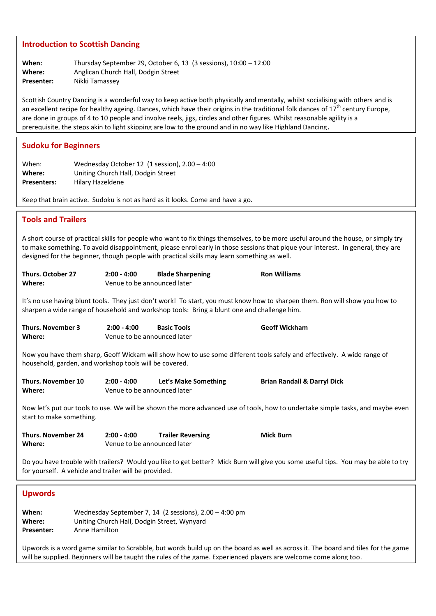#### **Introduction to Scottish Dancing**

| When:      | Thursday September 29, October 6, 13 (3 sessions), $10:00 - 12:00$ |
|------------|--------------------------------------------------------------------|
| Where:     | Anglican Church Hall, Dodgin Street                                |
| Presenter: | Nikki Tamassey                                                     |

Scottish Country Dancing is a wonderful way to keep active both physically and mentally, whilst socialising with others and is an excellent recipe for healthy ageing. Dances, which have their origins in the traditional folk dances of 17<sup>th</sup> century Europe, are done in groups of 4 to 10 people and involve reels, jigs, circles and other figures. Whilst reasonable agility is a prerequisite, the steps akin to light skipping are low to the ground and in no way like Highland Dancing**.**

#### **Sudoku for Beginners**

| When:              | Wednesday October 12 (1 session), $2.00 - 4:00$ |
|--------------------|-------------------------------------------------|
| Where:             | Uniting Church Hall, Dodgin Street              |
| <b>Presenters:</b> | Hilary Hazeldene                                |

Keep that brain active. Sudoku is not as hard as it looks. Come and have a go.

# **Tools and Trailers**  A short course of practical skills for people who want to fix things themselves, to be more useful around the house, or simply try to make something. To avoid disappointment, please enrol early in those sessions that pique your interest. In general, they are designed for the beginner, though people with practical skills may learn something as well. **Thurs. October 27 2:00 - 4:00 Blade Sharpening Ron Williams Where:** Venue to be announced later It's no use having blunt tools. They just don't work! To start, you must know how to sharpen them. Ron will show you how to sharpen a wide range of household and workshop tools: Bring a blunt one and challenge him. **Thurs. November 3 2:00 - 4:00 Basic Tools Geoff Wickham Where:** Venue to be announced later Now you have them sharp, Geoff Wickam will show how to use some different tools safely and effectively. A wide range of household, garden, and workshop tools will be covered. **Thurs. November 10 2:00 - 4:00 Let's Make Something Brian Randall & Darryl Dick Where:** Venue to be announced later Now let's put our tools to use. We will be shown the more advanced use of tools, how to undertake simple tasks, and maybe even start to make something. **Thurs. November 24 2:00 - 4:00 Trailer Reversing Mick Burn Where:** Venue to be announced later Do you have trouble with trailers? Would you like to get better? Mick Burn will give you some useful tips. You may be able to try for yourself. A vehicle and trailer will be provided. **Upwords When:** Wednesday September 7, 14 (2 sessions), 2.00 – 4:00 pm **Where:** Uniting Church Hall, Dodgin Street, Wynyard **Presenter:** Anne Hamilton Upwords is a word game similar to Scrabble, but words build up on the board as well as across it. The board and tiles for the game will be supplied. Beginners will be taught the rules of the game. Experienced players are welcome come along too.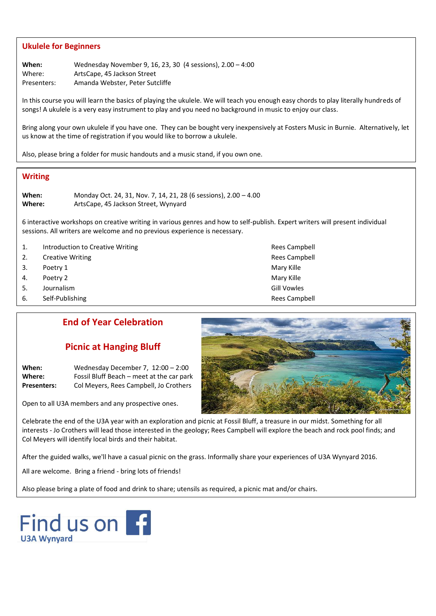### **Ukulele for Beginners**

**When:** Wednesday November 9, 16, 23, 30 (4 sessions), 2.00 – 4:00 Where: ArtsCape, 45 Jackson Street Presenters: Amanda Webster, Peter Sutcliffe

In this course you will learn the basics of playing the ukulele. We will teach you enough easy chords to play literally hundreds of songs! A ukulele is a very easy instrument to play and you need no background in music to enjoy our class.

Bring along your own ukulele if you have one. They can be bought very inexpensively at Fosters Music in Burnie. Alternatively, let us know at the time of registration if you would like to borrow a ukulele.

Also, please bring a folder for music handouts and a music stand, if you own one.

### **Writing**

**When:** Monday Oct. 24, 31, Nov. 7, 14, 21, 28 (6 sessions), 2.00 – 4.00 **Where:** ArtsCape, 45 Jackson Street, Wynyard

6 interactive workshops on creative writing in various genres and how to self-publish. Expert writers will present individual sessions. All writers are welcome and no previous experience is necessary.

- 1. Introduction to Creative Writing Theorem 2012 Control of the Rees Campbell
- 2. Creative Writing **Rees Campbell** 2. Creative Writing **Rees** Campbell
- 3. Poetry 1 Mary Kille No. 2014 12:30 Mary Kille No. 2014 12:30 Mary Kille
- 4. Poetry 2 and 2008 and 2009 and 2009 and 2009 and 2009 and 2009 and 2009 and 2009 and 2009 and 200
- 5. Journalism Gill Vowles
- 6. Self-Publishing **Rees Campbell Rees Campbell**

# **End of Year Celebration**

## **Picnic at Hanging Bluff**

**When:** Wednesday December 7, 12:00 – 2:00 **Where:** Fossil Bluff Beach – meet at the car park **Presenters:** Col Meyers, Rees Campbell, Jo Crothers

Open to all U3A members and any prospective ones.

Celebrate the end of the U3A year with an exploration and picnic at Fossil Bluff, a treasure in our midst. Something for all interests - Jo Crothers will lead those interested in the geology; Rees Campbell will explore the beach and rock pool finds; and Col Meyers will identify local birds and their habitat.

After the guided walks, we'll have a casual picnic on the grass. Informally share your experiences of U3A Wynyard 2016.

All are welcome. Bring a friend - bring lots of friends!

Also please bring a plate of food and drink to share; utensils as required, a picnic mat and/or chairs.



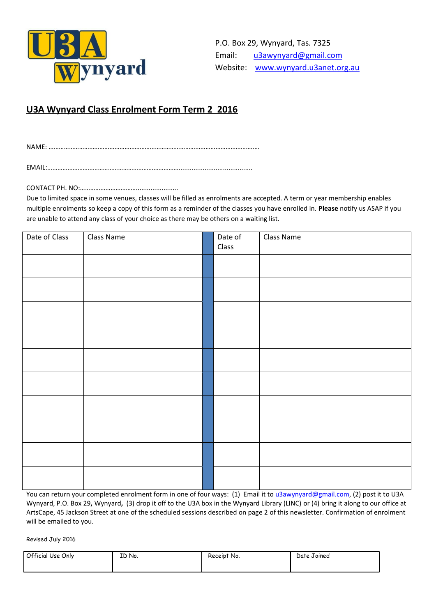

# **U3A Wynyard Class Enrolment Form Term 2 2016**

NAME: ………………………………………………………………………………………………………….….

EMAIL:……………………………………………………………………........................................

CONTACT PH. NO:…………………………….......................

Due to limited space in some venues, classes will be filled as enrolments are accepted. A term or year membership enables multiple enrolments so keep a copy of this form as a reminder of the classes you have enrolled in. **Please** notify us ASAP if you are unable to attend any class of your choice as there may be others on a waiting list.

| Date of Class | Class Name | Date of<br>Class | Class Name |
|---------------|------------|------------------|------------|
|               |            |                  |            |
|               |            |                  |            |
|               |            |                  |            |
|               |            |                  |            |
|               |            |                  |            |
|               |            |                  |            |
|               |            |                  |            |
|               |            |                  |            |
|               |            |                  |            |
|               |            |                  |            |
|               |            |                  |            |

You can return your completed enrolment form in one of four ways: (1) Email it to [u3awynyard@gmail.com,](mailto:u3awynyard@gmail.com) (2) post it to U3A Wynyard, P.O. Box 29**,** Wynyard**,** (3) drop it off to the U3A box in the Wynyard Library (LINC) or (4) bring it along to our office at ArtsCape, 45 Jackson Street at one of the scheduled sessions described on page 2 of this newsletter. Confirmation of enrolment will be emailed to you.

Revised July 2016

| Official Use Only<br>ID No. | Receipt No. | Date Joined |
|-----------------------------|-------------|-------------|
|-----------------------------|-------------|-------------|